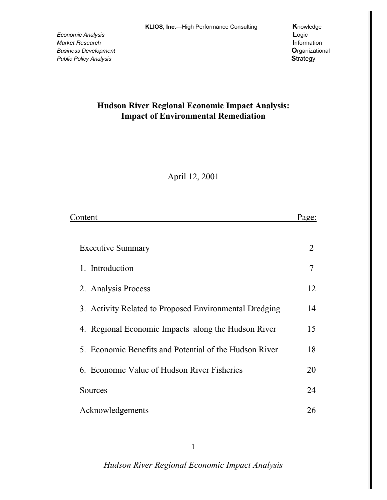# Hudson River Regional Economic Impact Analysis: **Impact of Environmental Remediation**

April 12, 2001

| Content                                                | Page: |
|--------------------------------------------------------|-------|
|                                                        |       |
| <b>Executive Summary</b>                               | 2     |
| 1. Introduction                                        | 7     |
| 2. Analysis Process                                    | 12    |
| 3. Activity Related to Proposed Environmental Dredging | 14    |
| 4. Regional Economic Impacts along the Hudson River    | 15    |
| 5. Economic Benefits and Potential of the Hudson River | 18    |
| 6. Economic Value of Hudson River Fisheries            | 20    |
| Sources                                                | 24    |
| Acknowledgements                                       | 26    |

 $\mathbf{1}$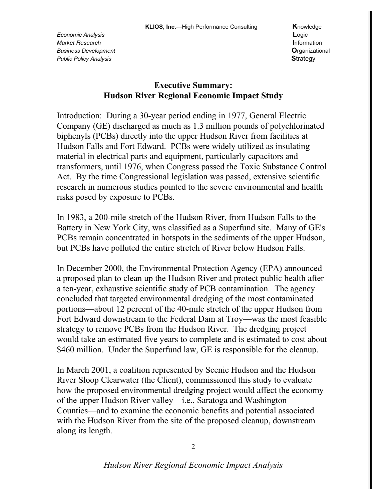### **Executive Summary: Hudson River Regional Economic Impact Study**

Introduction: During a 30-year period ending in 1977, General Electric Company (GE) discharged as much as 1.3 million pounds of polychlorinated biphenyls (PCBs) directly into the upper Hudson River from facilities at Hudson Falls and Fort Edward. PCBs were widely utilized as insulating material in electrical parts and equipment, particularly capacitors and transformers, until 1976, when Congress passed the Toxic Substance Control Act. By the time Congressional legislation was passed, extensive scientific research in numerous studies pointed to the severe environmental and health risks posed by exposure to PCBs.

In 1983, a 200-mile stretch of the Hudson River, from Hudson Falls to the Battery in New York City, was classified as a Superfund site. Many of GE's PCBs remain concentrated in hotspots in the sediments of the upper Hudson, but PCBs have polluted the entire stretch of River below Hudson Falls.

In December 2000, the Environmental Protection Agency (EPA) announced a proposed plan to clean up the Hudson River and protect public health after a ten-year, exhaustive scientific study of PCB contamination. The agency concluded that targeted environmental dredging of the most contaminated portions—about 12 percent of the 40-mile stretch of the upper Hudson from Fort Edward downstream to the Federal Dam at Troy—was the most feasible strategy to remove PCBs from the Hudson River. The dredging project would take an estimated five years to complete and is estimated to cost about \$460 million. Under the Superfund law, GE is responsible for the cleanup.

In March 2001, a coalition represented by Scenic Hudson and the Hudson River Sloop Clearwater (the Client), commissioned this study to evaluate how the proposed environmental dredging project would affect the economy of the upper Hudson River valley—i.e., Saratoga and Washington Counties—and to examine the economic benefits and potential associated with the Hudson River from the site of the proposed cleanup, downstream along its length.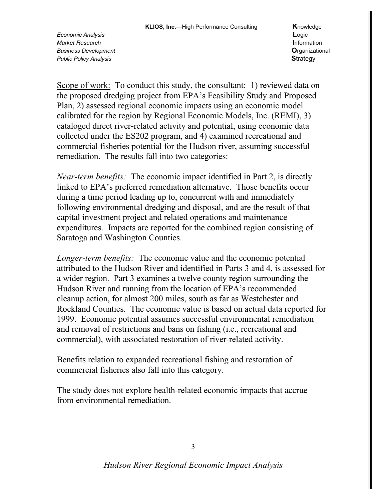Scope of work: To conduct this study, the consultant: 1) reviewed data on the proposed dredging project from EPA's Feasibility Study and Proposed Plan, 2) assessed regional economic impacts using an economic model calibrated for the region by Regional Economic Models, Inc. (REMI), 3) cataloged direct river-related activity and potential, using economic data collected under the ES202 program, and 4) examined recreational and commercial fisheries potential for the Hudson river, assuming successful remediation. The results fall into two categories:

*Near-term benefits:* The economic impact identified in Part 2, is directly linked to EPA's preferred remediation alternative. Those benefits occur during a time period leading up to, concurrent with and immediately following environmental dredging and disposal, and are the result of that capital investment project and related operations and maintenance expenditures. Impacts are reported for the combined region consisting of Saratoga and Washington Counties.

*Longer-term benefits:* The economic value and the economic potential attributed to the Hudson River and identified in Parts 3 and 4, is assessed for a wider region. Part 3 examines a twelve county region surrounding the Hudson River and running from the location of EPA's recommended cleanup action, for almost 200 miles, south as far as Westchester and Rockland Counties. The economic value is based on actual data reported for 1999. Economic potential assumes successful environmental remediation and removal of restrictions and bans on fishing (i.e., recreational and commercial), with associated restoration of river-related activity.

Benefits relation to expanded recreational fishing and restoration of commercial fisheries also fall into this category.

The study does not explore health-related economic impacts that accrue from environmental remediation.

3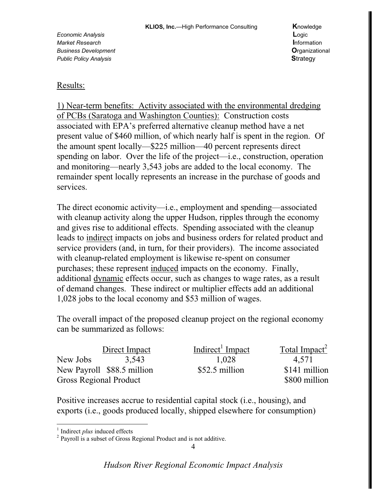#### Results:

1) Near-term benefits: Activity associated with the environmental dredging of PCBs (Saratoga and Washington Counties): Construction costs associated with EPA's preferred alternative cleanup method have a net present value of \$460 million, of which nearly half is spent in the region. Of the amount spent locally—\$225 million—40 percent represents direct spending on labor. Over the life of the project—i.e., construction, operation and monitoring—nearly 3,543 jobs are added to the local economy. The remainder spent locally represents an increase in the purchase of goods and services.

The direct economic activity—i.e., employment and spending—associated with cleanup activity along the upper Hudson, ripples through the economy and gives rise to additional effects. Spending associated with the cleanup leads to indirect impacts on jobs and business orders for related product and service providers (and, in turn, for their providers). The income associated with cleanup-related employment is likewise re-spent on consumer purchases; these represent induced impacts on the economy. Finally, additional dynamic effects occur, such as changes to wage rates, as a result of demand changes. These indirect or multiplier effects add an additional 1,028 jobs to the local economy and \$53 million of wages.

The overall impact of the proposed cleanup project on the regional economy can be summarized as follows:

|                               | Direct Impact              | Indirect <sup>1</sup> Impact | Total Impact <sup>2</sup> |
|-------------------------------|----------------------------|------------------------------|---------------------------|
| New Jobs                      | 3.543                      | 1.028                        | 4.571                     |
|                               | New Payroll \$88.5 million | \$52.5 million               | \$141 million             |
| <b>Gross Regional Product</b> |                            |                              | \$800 million             |

Positive increases accrue to residential capital stock (i.e., housing), and exports (i.e., goods produced locally, shipped elsewhere for consumption)

<sup>&</sup>lt;sup>1</sup> Indirect *plus* induced effects  $\frac{2}{7}$  Payroll is a subset of Gross Regional Product and is not additive.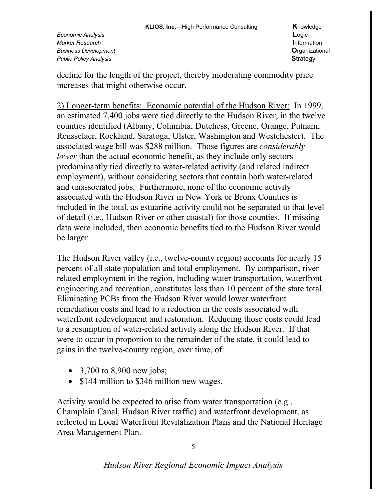decline for the length of the project, thereby moderating commodity price increases that might otherwise occur.

2) Longer-term benefits: Economic potential of the Hudson River: In 1999, an estimated 7,400 jobs were tied directly to the Hudson River, in the twelve counties identified (Albany, Columbia, Dutchess, Greene, Orange, Putnam, Rensselaer, Rockland, Saratoga, Ulster, Washington and Westchester). The associated wage bill was \$288 million. Those figures are *considerably lower* than the actual economic benefit, as they include only sectors predominantly tied directly to water-related activity (and related indirect employment), without considering sectors that contain both water-related and unassociated jobs. Furthermore, none of the economic activity associated with the Hudson River in New York or Bronx Counties is included in the total, as estuarine activity could not be separated to that level of detail (i.e., Hudson River or other coastal) for those counties. If missing data were included, then economic benefits tied to the Hudson River would be larger.

The Hudson River valley (i.e., twelve-county region) accounts for nearly 15 percent of all state population and total employment. By comparison, riverrelated employment in the region, including water transportation, waterfront engineering and recreation, constitutes less than 10 percent of the state total. Eliminating PCBs from the Hudson River would lower waterfront remediation costs and lead to a reduction in the costs associated with waterfront redevelopment and restoration. Reducing those costs could lead to a resumption of water-related activity along the Hudson River. If that were to occur in proportion to the remainder of the state, it could lead to gains in the twelve-county region, over time, of:

- 3,700 to 8,900 new jobs;
- \$144 million to \$346 million new wages.

Activity would be expected to arise from water transportation (e.g., Champlain Canal, Hudson River traffic) and waterfront development, as reflected in Local Waterfront Revitalization Plans and the National Heritage Area Management Plan.

5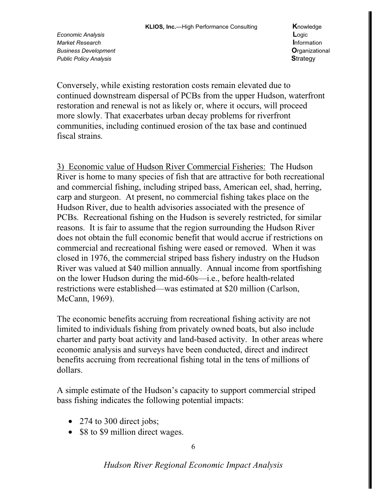Conversely, while existing restoration costs remain elevated due to continued downstream dispersal of PCBs from the upper Hudson, waterfront restoration and renewal is not as likely or, where it occurs, will proceed more slowly. That exacerbates urban decay problems for riverfront communities, including continued erosion of the tax base and continued fiscal strains.

3) Economic value of Hudson River Commercial Fisheries: The Hudson River is home to many species of fish that are attractive for both recreational and commercial fishing, including striped bass, American eel, shad, herring, carp and sturgeon. At present, no commercial fishing takes place on the Hudson River, due to health advisories associated with the presence of PCBs. Recreational fishing on the Hudson is severely restricted, for similar reasons. It is fair to assume that the region surrounding the Hudson River does not obtain the full economic benefit that would accrue if restrictions on commercial and recreational fishing were eased or removed. When it was closed in 1976, the commercial striped bass fishery industry on the Hudson River was valued at \$40 million annually. Annual income from sportfishing on the lower Hudson during the mid-60s—i.e., before health-related restrictions were established—was estimated at \$20 million (Carlson, McCann, 1969).

The economic benefits accruing from recreational fishing activity are not limited to individuals fishing from privately owned boats, but also include charter and party boat activity and land-based activity. In other areas where economic analysis and surveys have been conducted, direct and indirect benefits accruing from recreational fishing total in the tens of millions of dollars.

A simple estimate of the Hudson's capacity to support commercial striped bass fishing indicates the following potential impacts:

- 274 to 300 direct jobs;
- \$8 to \$9 million direct wages.

6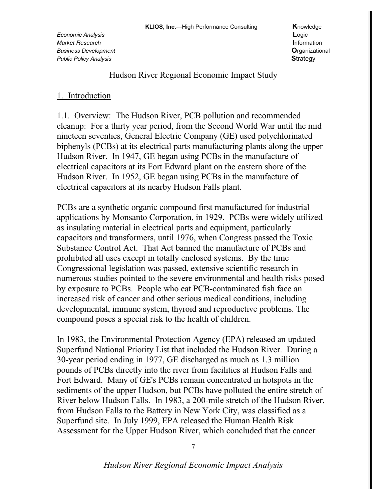Hudson River Regional Economic Impact Study

### 1. Introduction

1.1. Overview: The Hudson River, PCB pollution and recommended cleanup: For a thirty year period, from the Second World War until the mid nineteen seventies, General Electric Company (GE) used polychlorinated biphenyls (PCBs) at its electrical parts manufacturing plants along the upper Hudson River. In 1947, GE began using PCBs in the manufacture of electrical capacitors at its Fort Edward plant on the eastern shore of the Hudson River. In 1952, GE began using PCBs in the manufacture of electrical capacitors at its nearby Hudson Falls plant.

PCBs are a synthetic organic compound first manufactured for industrial applications by Monsanto Corporation, in 1929. PCBs were widely utilized as insulating material in electrical parts and equipment, particularly capacitors and transformers, until 1976, when Congress passed the Toxic Substance Control Act. That Act banned the manufacture of PCBs and prohibited all uses except in totally enclosed systems. By the time Congressional legislation was passed, extensive scientific research in numerous studies pointed to the severe environmental and health risks posed by exposure to PCBs. People who eat PCB-contaminated fish face an increased risk of cancer and other serious medical conditions, including developmental, immune system, thyroid and reproductive problems. The compound poses a special risk to the health of children.

In 1983, the Environmental Protection Agency (EPA) released an updated Superfund National Priority List that included the Hudson River. During a 30-year period ending in 1977, GE discharged as much as 1.3 million pounds of PCBs directly into the river from facilities at Hudson Falls and Fort Edward. Many of GE's PCBs remain concentrated in hotspots in the sediments of the upper Hudson, but PCBs have polluted the entire stretch of River below Hudson Falls. In 1983, a 200-mile stretch of the Hudson River, from Hudson Falls to the Battery in New York City, was classified as a Superfund site. In July 1999, EPA released the Human Health Risk Assessment for the Upper Hudson River, which concluded that the cancer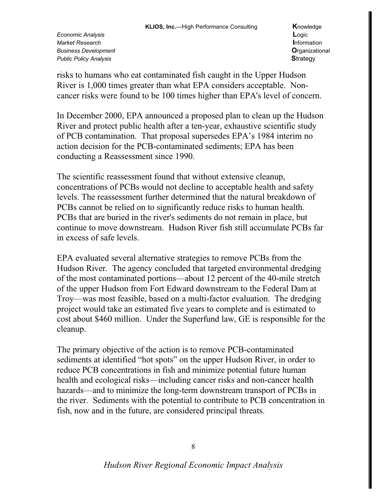risks to humans who eat contaminated fish caught in the Upper Hudson River is 1,000 times greater than what EPA considers acceptable. Noncancer risks were found to be 100 times higher than EPA's level of concern.

In December 2000, EPA announced a proposed plan to clean up the Hudson River and protect public health after a ten-year, exhaustive scientific study of PCB contamination. That proposal supersedes EPA's 1984 interim no action decision for the PCB-contaminated sediments; EPA has been conducting a Reassessment since 1990.

The scientific reassessment found that without extensive cleanup, concentrations of PCBs would not decline to acceptable health and safety levels. The reassessment further determined that the natural breakdown of PCBs cannot be relied on to significantly reduce risks to human health. PCBs that are buried in the river's sediments do not remain in place, but continue to move downstream. Hudson River fish still accumulate PCBs far in excess of safe levels.

EPA evaluated several alternative strategies to remove PCBs from the Hudson River. The agency concluded that targeted environmental dredging of the most contaminated portions—about 12 percent of the 40-mile stretch of the upper Hudson from Fort Edward downstream to the Federal Dam at Troy—was most feasible, based on a multi-factor evaluation. The dredging project would take an estimated five years to complete and is estimated to cost about \$460 million. Under the Superfund law, GE is responsible for the cleanup.

The primary objective of the action is to remove PCB-contaminated sediments at identified "hot spots" on the upper Hudson River, in order to reduce PCB concentrations in fish and minimize potential future human health and ecological risks—including cancer risks and non-cancer health hazards—and to minimize the long-term downstream transport of PCBs in the river. Sediments with the potential to contribute to PCB concentration in fish, now and in the future, are considered principal threats.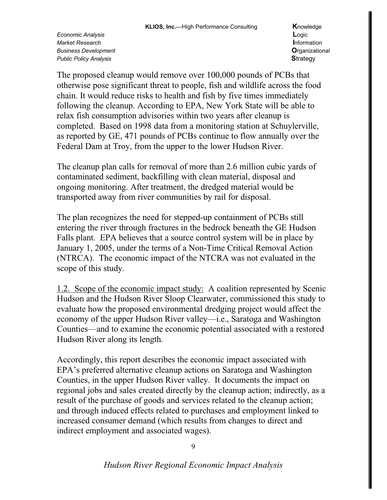The proposed cleanup would remove over 100,000 pounds of PCBs that otherwise pose significant threat to people, fish and wildlife across the food chain. It would reduce risks to health and fish by five times immediately following the cleanup. According to EPA, New York State will be able to relax fish consumption advisories within two years after cleanup is completed. Based on 1998 data from a monitoring station at Schuylerville, as reported by GE, 471 pounds of PCBs continue to flow annually over the Federal Dam at Troy, from the upper to the lower Hudson River.

The cleanup plan calls for removal of more than 2.6 million cubic yards of contaminated sediment, backfilling with clean material, disposal and ongoing monitoring. After treatment, the dredged material would be transported away from river communities by rail for disposal.

The plan recognizes the need for stepped-up containment of PCBs still entering the river through fractures in the bedrock beneath the GE Hudson Falls plant. EPA believes that a source control system will be in place by January 1, 2005, under the terms of a Non-Time Critical Removal Action (NTRCA). The economic impact of the NTCRA was not evaluated in the scope of this study.

1.2. Scope of the economic impact study: A coalition represented by Scenic Hudson and the Hudson River Sloop Clearwater, commissioned this study to evaluate how the proposed environmental dredging project would affect the economy of the upper Hudson River valley—i.e., Saratoga and Washington Counties—and to examine the economic potential associated with a restored Hudson River along its length.

Accordingly, this report describes the economic impact associated with EPA's preferred alternative cleanup actions on Saratoga and Washington Counties, in the upper Hudson River valley. It documents the impact on regional jobs and sales created directly by the cleanup action; indirectly, as a result of the purchase of goods and services related to the cleanup action; and through induced effects related to purchases and employment linked to increased consumer demand (which results from changes to direct and indirect employment and associated wages).

9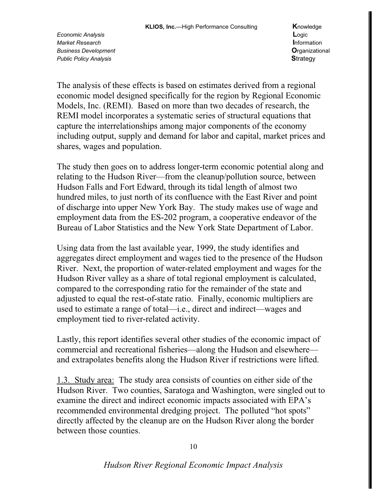The analysis of these effects is based on estimates derived from a regional economic model designed specifically for the region by Regional Economic Models, Inc. (REMI). Based on more than two decades of research, the REMI model incorporates a systematic series of structural equations that capture the interrelationships among major components of the economy including output, supply and demand for labor and capital, market prices and shares, wages and population.

The study then goes on to address longer-term economic potential along and relating to the Hudson River—from the cleanup/pollution source, between Hudson Falls and Fort Edward, through its tidal length of almost two hundred miles, to just north of its confluence with the East River and point of discharge into upper New York Bay. The study makes use of wage and employment data from the ES-202 program, a cooperative endeavor of the Bureau of Labor Statistics and the New York State Department of Labor.

Using data from the last available year, 1999, the study identifies and aggregates direct employment and wages tied to the presence of the Hudson River. Next, the proportion of water-related employment and wages for the Hudson River valley as a share of total regional employment is calculated, compared to the corresponding ratio for the remainder of the state and adjusted to equal the rest-of-state ratio. Finally, economic multipliers are used to estimate a range of total—i.e., direct and indirect—wages and employment tied to river-related activity.

Lastly, this report identifies several other studies of the economic impact of commercial and recreational fisheries—along the Hudson and elsewhere and extrapolates benefits along the Hudson River if restrictions were lifted.

1.3. Study area: The study area consists of counties on either side of the Hudson River. Two counties, Saratoga and Washington, were singled out to examine the direct and indirect economic impacts associated with EPA's recommended environmental dredging project. The polluted "hot spots" directly affected by the cleanup are on the Hudson River along the border between those counties.

10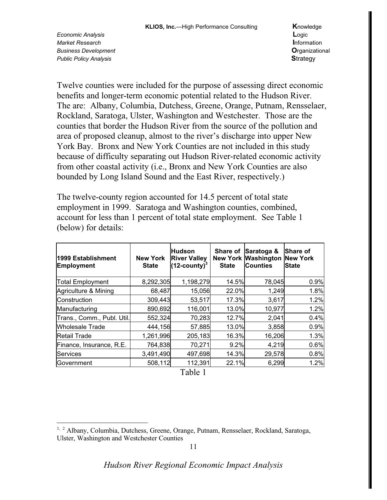Twelve counties were included for the purpose of assessing direct economic benefits and longer-term economic potential related to the Hudson River. The are: Albany, Columbia, Dutchess, Greene, Orange, Putnam, Rensselaer, Rockland, Saratoga, Ulster, Washington and Westchester. Those are the counties that border the Hudson River from the source of the pollution and area of proposed cleanup, almost to the river's discharge into upper New York Bay. Bronx and New York Counties are not included in this study because of difficulty separating out Hudson River-related economic activity from other coastal activity (i.e., Bronx and New York Counties are also bounded by Long Island Sound and the East River, respectively.)

The twelve-county region accounted for 14.5 percent of total state employment in 1999. Saratoga and Washington counties, combined, account for less than 1 percent of total state employment. See Table 1 (below) for details:

| 1999 Establishment<br><b>Employment</b> | <b>New York</b><br><b>State</b> | <b>Hudson</b><br><b>River Valley</b><br>$(12$ -county) <sup>3</sup> | Share of<br><b>State</b> | Saratoga &<br><b>New York Washington</b><br><b>Counties</b> | <b>Share of</b><br><b>New York</b><br><b>State</b> |
|-----------------------------------------|---------------------------------|---------------------------------------------------------------------|--------------------------|-------------------------------------------------------------|----------------------------------------------------|
| <b>Total Employment</b>                 | 8,292,305                       | 1,198,279                                                           | 14.5%                    | 78,045                                                      | 0.9%                                               |
| Agriculture & Mining                    | 68,487                          | 15,056                                                              | 22.0%                    | 1,249                                                       | 1.8%                                               |
| Construction                            | 309,443                         | 53,517                                                              | 17.3%                    | 3,617                                                       | 1.2%                                               |
| Manufacturing                           | 890,692                         | 116,001                                                             | 13.0%                    | 10,977                                                      | 1.2%                                               |
| Trans., Comm., Publ. Util.              | 552,324                         | 70,283                                                              | 12.7%                    | 2,041                                                       | 0.4%                                               |
| <b>Wholesale Trade</b>                  | 444,156                         | 57,885                                                              | 13.0%                    | 3,858                                                       | 0.9%                                               |
| <b>Retail Trade</b>                     | 1,261,996                       | 205,183                                                             | 16.3%                    | 16,206                                                      | 1.3%                                               |
| Finance, Insurance, R.E.                | 764,838                         | 70,271                                                              | 9.2%                     | 4,219                                                       | 0.6%                                               |
| <b>Services</b>                         | 3,491,490                       | 497,698                                                             | 14.3%                    | 29,578                                                      | 0.8%                                               |
| Government                              | 508,112                         | 112,391                                                             | 22.1%                    | 6,299                                                       | 1.2%                                               |

Table 1

<sup>&</sup>lt;sup>3, 2</sup> Albany, Columbia, Dutchess, Greene, Orange, Putnam, Rensselaer, Rockland, Saratoga, Ulster, Washington and Westchester Counties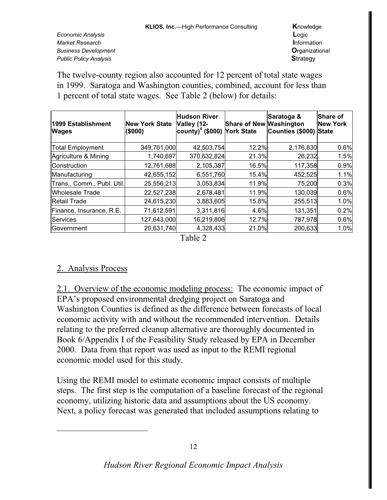Economic Analysis Market Research **Business Development Public Policy Analysis** 

Knowledge Logic Information **O**rganizational **Strategy** 

The twelve-county region also accounted for 12 percent of total state wages in 1999. Saratoga and Washington counties, combined, account for less than 1 percent of total state wages. See Table 2 (below) for details:

| 1999 Establishment<br><b>Wages</b> | <b>New York State</b><br>(\$000) | <b>Hudson River</b><br>Valley (12-<br>county) <sup>4</sup> (\$000) York State | <b>Share of New Washington</b> | Saratoga &<br>Counties (\$000) | Share of<br><b>New York</b><br><b>State</b> |
|------------------------------------|----------------------------------|-------------------------------------------------------------------------------|--------------------------------|--------------------------------|---------------------------------------------|
| <b>Total Employment</b>            | 349,761,000                      | 42,503,754                                                                    | 12.2%                          | 2,176,830                      | 0.6%                                        |
| Agriculture & Mining               | 1,740,697                        | 370,632,824                                                                   | 21.3%                          | 26,232                         | 1.5%                                        |
| Construction                       | 12,761,688                       | 2,105,387                                                                     | 16.5%                          | 117,358                        | 0.9%                                        |
| Manufacturing                      | 42,655,152                       | 6,551,760                                                                     | 15.4%                          | 452,525                        | 1.1%                                        |
| Trans., Comm., Publ. Util.         | 25,556,213                       | 3,053,834                                                                     | 11.9%                          | 75,200                         | 0.3%                                        |
| Wholesale Trade                    | 22,527,238                       | 2,678,481                                                                     | 11.9%                          | 130,039                        | 0.6%                                        |
| Retail Trade                       | 24,615,230                       | 3,883,605                                                                     | 15.8%                          | 255,513                        | 1.0%                                        |
| Finance, Insurance, R.E.           | 71,612,591                       | 3,311,816                                                                     | 4.6%                           | 131,351                        | 0.2%                                        |
| Services                           | 127,643,000                      | 16,219,806                                                                    | 12.7%                          | 787,978                        | 0.6%                                        |
| Government                         | 20,631,740                       | 4,328,433                                                                     | 21.0%                          | 200,633                        | 1.0%                                        |

Table 2

### 2. Analysis Process

2.1. Overview of the economic modeling process: The economic impact of EPA's proposed environmental dredging project on Saratoga and Washington Counties is defined as the difference between forecasts of local economic activity with and without the recommended intervention. Details relating to the preferred cleanup alternative are thoroughly documented in Book 6/Appendix I of the Feasibility Study released by EPA in December 2000. Data from that report was used as input to the REMI regional economic model used for this study.

Using the REMI model to estimate economic impact consists of multiple steps. The first step is the computation of a baseline forecast of the regional economy, utilizing historic data and assumptions about the US economy. Next, a policy forecast was generated that included assumptions relating to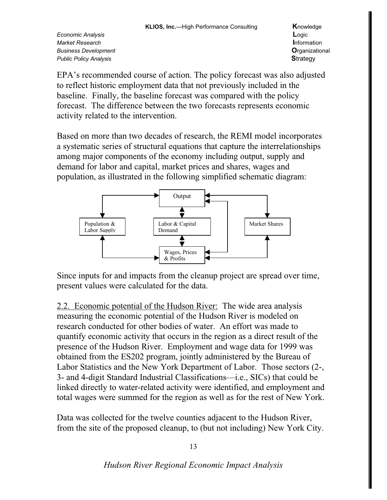EPA's recommended course of action. The policy forecast was also adjusted to reflect historic employment data that not previously included in the baseline. Finally, the baseline forecast was compared with the policy forecast. The difference between the two forecasts represents economic activity related to the intervention.

Based on more than two decades of research, the REMI model incorporates a systematic series of structural equations that capture the interrelationships among major components of the economy including output, supply and demand for labor and capital, market prices and shares, wages and population, as illustrated in the following simplified schematic diagram:



Since inputs for and impacts from the cleanup project are spread over time, present values were calculated for the data.

2.2. Economic potential of the Hudson River: The wide area analysis measuring the economic potential of the Hudson River is modeled on research conducted for other bodies of water. An effort was made to quantify economic activity that occurs in the region as a direct result of the presence of the Hudson River. Employment and wage data for 1999 was obtained from the ES202 program, jointly administered by the Bureau of Labor Statistics and the New York Department of Labor. Those sectors (2-, 3- and 4-digit Standard Industrial Classifications—i.e., SICs) that could be linked directly to water-related activity were identified, and employment and total wages were summed for the region as well as for the rest of New York.

Data was collected for the twelve counties adjacent to the Hudson River, from the site of the proposed cleanup, to (but not including) New York City.

13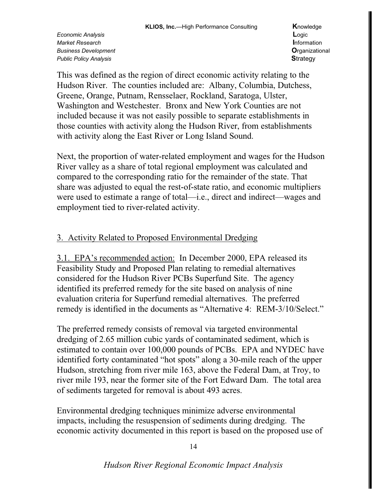This was defined as the region of direct economic activity relating to the Hudson River. The counties included are: Albany, Columbia, Dutchess, Greene, Orange, Putnam, Rensselaer, Rockland, Saratoga, Ulster, Washington and Westchester. Bronx and New York Counties are not included because it was not easily possible to separate establishments in those counties with activity along the Hudson River, from establishments with activity along the East River or Long Island Sound.

Next, the proportion of water-related employment and wages for the Hudson River valley as a share of total regional employment was calculated and compared to the corresponding ratio for the remainder of the state. That share was adjusted to equal the rest-of-state ratio, and economic multipliers were used to estimate a range of total—i.e., direct and indirect—wages and employment tied to river-related activity.

## 3. Activity Related to Proposed Environmental Dredging

3.1. EPA's recommended action: In December 2000, EPA released its Feasibility Study and Proposed Plan relating to remedial alternatives considered for the Hudson River PCBs Superfund Site. The agency identified its preferred remedy for the site based on analysis of nine evaluation criteria for Superfund remedial alternatives. The preferred remedy is identified in the documents as "Alternative 4: REM-3/10/Select."

The preferred remedy consists of removal via targeted environmental dredging of 2.65 million cubic yards of contaminated sediment, which is estimated to contain over 100,000 pounds of PCBs. EPA and NYDEC have identified forty contaminated "hot spots" along a 30-mile reach of the upper Hudson, stretching from river mile 163, above the Federal Dam, at Troy, to river mile 193, near the former site of the Fort Edward Dam. The total area of sediments targeted for removal is about 493 acres.

Environmental dredging techniques minimize adverse environmental impacts, including the resuspension of sediments during dredging. The economic activity documented in this report is based on the proposed use of

14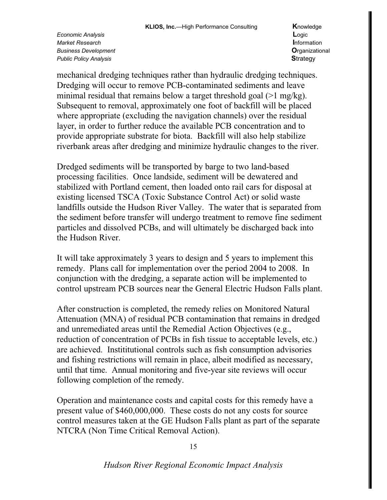mechanical dredging techniques rather than hydraulic dredging techniques. Dredging will occur to remove PCB-contaminated sediments and leave minimal residual that remains below a target threshold goal  $(>1 \text{ mg/kg})$ . Subsequent to removal, approximately one foot of backfill will be placed where appropriate (excluding the navigation channels) over the residual layer, in order to further reduce the available PCB concentration and to provide appropriate substrate for biota. Backfill will also help stabilize riverbank areas after dredging and minimize hydraulic changes to the river.

Dredged sediments will be transported by barge to two land-based processing facilities. Once landside, sediment will be dewatered and stabilized with Portland cement, then loaded onto rail cars for disposal at existing licensed TSCA (Toxic Substance Control Act) or solid waste landfills outside the Hudson River Valley. The water that is separated from the sediment before transfer will undergo treatment to remove fine sediment particles and dissolved PCBs, and will ultimately be discharged back into the Hudson River.

It will take approximately 3 years to design and 5 years to implement this remedy. Plans call for implementation over the period 2004 to 2008. In conjunction with the dredging, a separate action will be implemented to control upstream PCB sources near the General Electric Hudson Falls plant.

After construction is completed, the remedy relies on Monitored Natural Attenuation (MNA) of residual PCB contamination that remains in dredged and unremediated areas until the Remedial Action Objectives (e.g., reduction of concentration of PCBs in fish tissue to acceptable levels, etc.) are achieved. Instititutional controls such as fish consumption advisories and fishing restrictions will remain in place, albeit modified as necessary, until that time. Annual monitoring and five-year site reviews will occur following completion of the remedy.

Operation and maintenance costs and capital costs for this remedy have a present value of \$460,000,000. These costs do not any costs for source control measures taken at the GE Hudson Falls plant as part of the separate NTCRA (Non Time Critical Removal Action).

15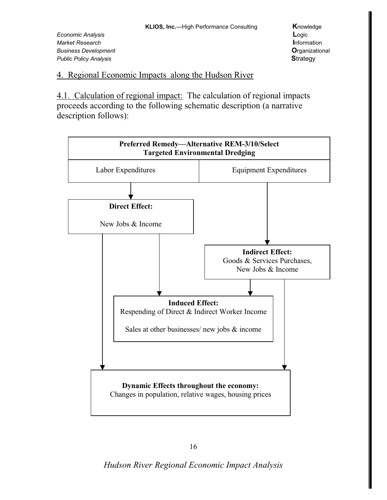Economic Analysis Market Research **Business Development Public Policy Analysis** 

#### 4. Regional Economic Impacts along the Hudson River

4.1. Calculation of regional impact: The calculation of regional impacts proceeds according to the following schematic description (a narrative description follows):



Hudson River Regional Economic Impact Analysis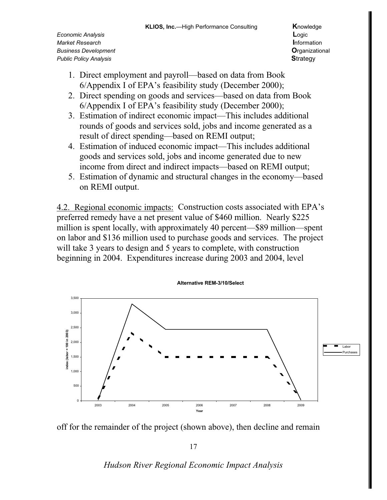- 1. Direct employment and payroll—based on data from Book 6/Appendix I of EPA's feasibility study (December 2000);
- 2. Direct spending on goods and services—based on data from Book 6/Appendix I of EPA's feasibility study (December 2000);
- 3. Estimation of indirect economic impact—This includes additional rounds of goods and services sold, jobs and income generated as a result of direct spending—based on REMI output;
- 4. Estimation of induced economic impact—This includes additional goods and services sold, jobs and income generated due to new income from direct and indirect impacts—based on REMI output;
- 5. Estimation of dynamic and structural changes in the economy—based on REMI output.

4.2. Regional economic impacts: Construction costs associated with EPA's preferred remedy have a net present value of \$460 million. Nearly \$225 million is spent locally, with approximately 40 percent—\$89 million—spent on labor and \$136 million used to purchase goods and services. The project will take 3 years to design and 5 years to complete, with construction beginning in 2004. Expenditures increase during 2003 and 2004, level



off for the remainder of the project (shown above), then decline and remain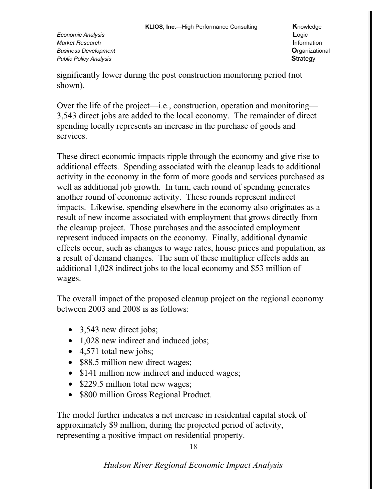significantly lower during the post construction monitoring period (not shown).

Over the life of the project—i.e., construction, operation and monitoring— 3,543 direct jobs are added to the local economy. The remainder of direct spending locally represents an increase in the purchase of goods and services.

These direct economic impacts ripple through the economy and give rise to additional effects. Spending associated with the cleanup leads to additional activity in the economy in the form of more goods and services purchased as well as additional job growth. In turn, each round of spending generates another round of economic activity. These rounds represent indirect impacts. Likewise, spending elsewhere in the economy also originates as a result of new income associated with employment that grows directly from the cleanup project. Those purchases and the associated employment represent induced impacts on the economy. Finally, additional dynamic effects occur, such as changes to wage rates, house prices and population, as a result of demand changes. The sum of these multiplier effects adds an additional 1,028 indirect jobs to the local economy and \$53 million of wages.

The overall impact of the proposed cleanup project on the regional economy between 2003 and 2008 is as follows:

- 3,543 new direct jobs;
- 1,028 new indirect and induced jobs;
- 4,571 total new jobs;
- \$88.5 million new direct wages;
- \$141 million new indirect and induced wages;
- \$229.5 million total new wages;
- \$800 million Gross Regional Product.

The model further indicates a net increase in residential capital stock of approximately \$9 million, during the projected period of activity, representing a positive impact on residential property.

18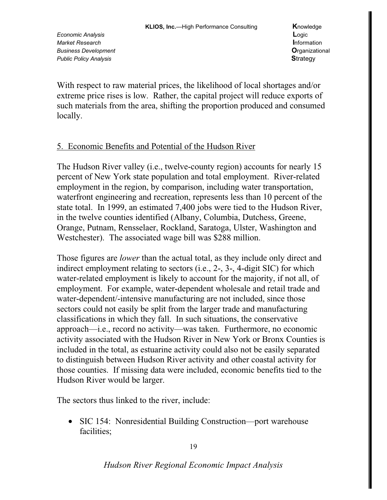With respect to raw material prices, the likelihood of local shortages and/or extreme price rises is low. Rather, the capital project will reduce exports of such materials from the area, shifting the proportion produced and consumed locally.

## 5. Economic Benefits and Potential of the Hudson River

The Hudson River valley (i.e., twelve-county region) accounts for nearly 15 percent of New York state population and total employment. River-related employment in the region, by comparison, including water transportation, waterfront engineering and recreation, represents less than 10 percent of the state total. In 1999, an estimated 7,400 jobs were tied to the Hudson River, in the twelve counties identified (Albany, Columbia, Dutchess, Greene, Orange, Putnam, Rensselaer, Rockland, Saratoga, Ulster, Washington and Westchester). The associated wage bill was \$288 million.

Those figures are *lower* than the actual total, as they include only direct and indirect employment relating to sectors (i.e., 2-, 3-, 4-digit SIC) for which water-related employment is likely to account for the majority, if not all, of employment. For example, water-dependent wholesale and retail trade and water-dependent/-intensive manufacturing are not included, since those sectors could not easily be split from the larger trade and manufacturing classifications in which they fall. In such situations, the conservative approach—i.e., record no activity—was taken. Furthermore, no economic activity associated with the Hudson River in New York or Bronx Counties is included in the total, as estuarine activity could also not be easily separated to distinguish between Hudson River activity and other coastal activity for those counties. If missing data were included, economic benefits tied to the Hudson River would be larger.

The sectors thus linked to the river, include:

• SIC 154: Nonresidential Building Construction—port warehouse facilities;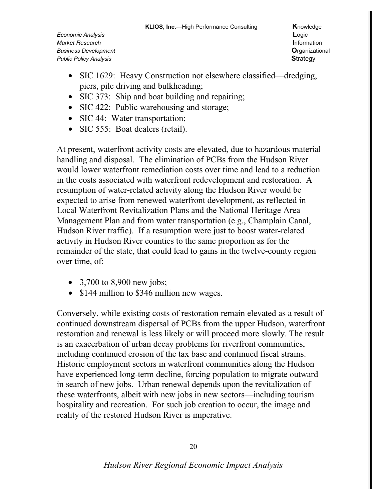- SIC 1629: Heavy Construction not elsewhere classified—dredging, piers, pile driving and bulkheading;
- SIC 373: Ship and boat building and repairing;
- SIC 422: Public warehousing and storage;
- SIC 44: Water transportation;
- SIC 555: Boat dealers (retail).

At present, waterfront activity costs are elevated, due to hazardous material handling and disposal. The elimination of PCBs from the Hudson River would lower waterfront remediation costs over time and lead to a reduction in the costs associated with waterfront redevelopment and restoration. A resumption of water-related activity along the Hudson River would be expected to arise from renewed waterfront development, as reflected in Local Waterfront Revitalization Plans and the National Heritage Area Management Plan and from water transportation (e.g., Champlain Canal, Hudson River traffic). If a resumption were just to boost water-related activity in Hudson River counties to the same proportion as for the remainder of the state, that could lead to gains in the twelve-county region over time, of:

- 3,700 to 8,900 new jobs;
- \$144 million to \$346 million new wages.

Conversely, while existing costs of restoration remain elevated as a result of continued downstream dispersal of PCBs from the upper Hudson, waterfront restoration and renewal is less likely or will proceed more slowly. The result is an exacerbation of urban decay problems for riverfront communities, including continued erosion of the tax base and continued fiscal strains. Historic employment sectors in waterfront communities along the Hudson have experienced long-term decline, forcing population to migrate outward in search of new jobs. Urban renewal depends upon the revitalization of these waterfronts, albeit with new jobs in new sectors—including tourism hospitality and recreation. For such job creation to occur, the image and reality of the restored Hudson River is imperative.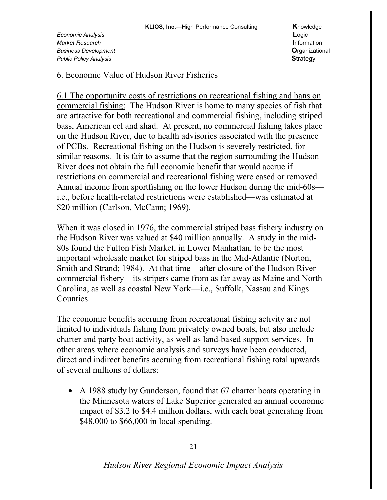#### 6. Economic Value of Hudson River Fisheries

6.1 The opportunity costs of restrictions on recreational fishing and bans on commercial fishing: The Hudson River is home to many species of fish that are attractive for both recreational and commercial fishing, including striped bass, American eel and shad. At present, no commercial fishing takes place on the Hudson River, due to health advisories associated with the presence of PCBs. Recreational fishing on the Hudson is severely restricted, for similar reasons. It is fair to assume that the region surrounding the Hudson River does not obtain the full economic benefit that would accrue if restrictions on commercial and recreational fishing were eased or removed. Annual income from sportfishing on the lower Hudson during the mid-60s i.e., before health-related restrictions were established—was estimated at \$20 million (Carlson, McCann; 1969).

When it was closed in 1976, the commercial striped bass fishery industry on the Hudson River was valued at \$40 million annually. A study in the mid-80s found the Fulton Fish Market, in Lower Manhattan, to be the most important wholesale market for striped bass in the Mid-Atlantic (Norton, Smith and Strand; 1984). At that time—after closure of the Hudson River commercial fishery—its stripers came from as far away as Maine and North Carolina, as well as coastal New York—i.e., Suffolk, Nassau and Kings Counties.

The economic benefits accruing from recreational fishing activity are not limited to individuals fishing from privately owned boats, but also include charter and party boat activity, as well as land-based support services. In other areas where economic analysis and surveys have been conducted, direct and indirect benefits accruing from recreational fishing total upwards of several millions of dollars:

• A 1988 study by Gunderson, found that 67 charter boats operating in the Minnesota waters of Lake Superior generated an annual economic impact of \$3.2 to \$4.4 million dollars, with each boat generating from \$48,000 to \$66,000 in local spending.

21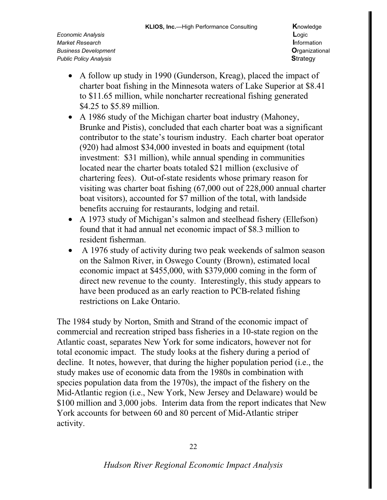- A follow up study in 1990 (Gunderson, Kreag), placed the impact of charter boat fishing in the Minnesota waters of Lake Superior at \$8.41 to \$11.65 million, while noncharter recreational fishing generated \$4.25 to \$5.89 million.
- A 1986 study of the Michigan charter boat industry (Mahoney, Brunke and Pistis), concluded that each charter boat was a significant contributor to the state's tourism industry. Each charter boat operator (920) had almost \$34,000 invested in boats and equipment (total investment: \$31 million), while annual spending in communities located near the charter boats totaled \$21 million (exclusive of chartering fees). Out-of-state residents whose primary reason for visiting was charter boat fishing (67,000 out of 228,000 annual charter boat visitors), accounted for \$7 million of the total, with landside benefits accruing for restaurants, lodging and retail.
- A 1973 study of Michigan's salmon and steelhead fishery (Ellefson) found that it had annual net economic impact of \$8.3 million to resident fisherman.
- A 1976 study of activity during two peak weekends of salmon season on the Salmon River, in Oswego County (Brown), estimated local economic impact at \$455,000, with \$379,000 coming in the form of direct new revenue to the county. Interestingly, this study appears to have been produced as an early reaction to PCB-related fishing restrictions on Lake Ontario.

The 1984 study by Norton, Smith and Strand of the economic impact of commercial and recreation striped bass fisheries in a 10-state region on the Atlantic coast, separates New York for some indicators, however not for total economic impact. The study looks at the fishery during a period of decline. It notes, however, that during the higher population period (i.e., the study makes use of economic data from the 1980s in combination with species population data from the 1970s), the impact of the fishery on the Mid-Atlantic region (i.e., New York, New Jersey and Delaware) would be \$100 million and 3,000 jobs. Interim data from the report indicates that New York accounts for between 60 and 80 percent of Mid-Atlantic striper activity.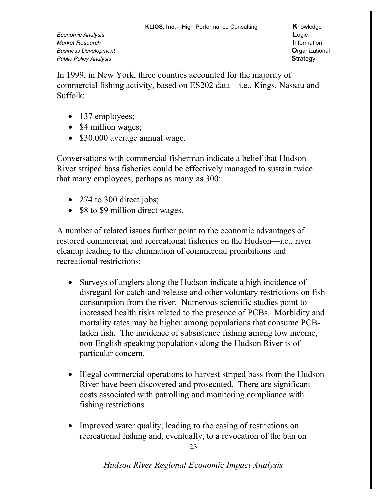In 1999, in New York, three counties accounted for the majority of commercial fishing activity, based on ES202 data—i.e., Kings, Nassau and Suffolk:

- 137 employees;
- \$4 million wages;
- \$30,000 average annual wage.

Conversations with commercial fisherman indicate a belief that Hudson River striped bass fisheries could be effectively managed to sustain twice that many employees, perhaps as many as 300:

- 274 to 300 direct jobs;
- \$8 to \$9 million direct wages.

A number of related issues further point to the economic advantages of restored commercial and recreational fisheries on the Hudson—i.e., river cleanup leading to the elimination of commercial prohibitions and recreational restrictions:

- Surveys of anglers along the Hudson indicate a high incidence of disregard for catch-and-release and other voluntary restrictions on fish consumption from the river. Numerous scientific studies point to increased health risks related to the presence of PCBs. Morbidity and mortality rates may be higher among populations that consume PCBladen fish. The incidence of subsistence fishing among low income, non-English speaking populations along the Hudson River is of particular concern.
- Illegal commercial operations to harvest striped bass from the Hudson River have been discovered and prosecuted. There are significant costs associated with patrolling and monitoring compliance with fishing restrictions.
- Improved water quality, leading to the easing of restrictions on recreational fishing and, eventually, to a revocation of the ban on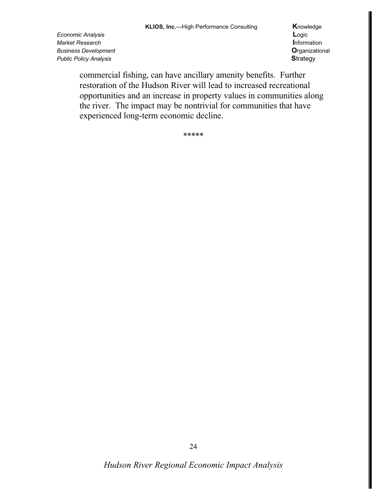Economic Analysis Market Research **Business Development Public Policy Analysis** 

Knowledge Logic Information Organizational **Strategy** 

commercial fishing, can have ancillary amenity benefits. Further restoration of the Hudson River will lead to increased recreational opportunities and an increase in property values in communities along the river. The impact may be nontrivial for communities that have experienced long-term economic decline.

\*\*\*\*\*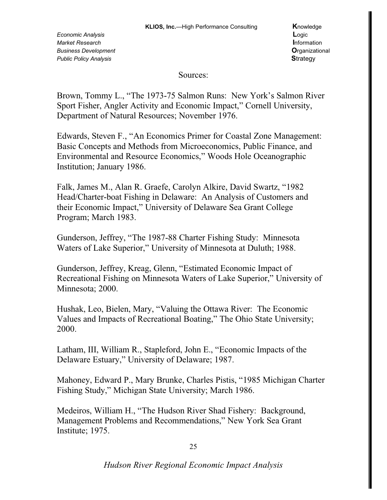Sources:

Brown, Tommy L., "The 1973-75 Salmon Runs: New York's Salmon River Sport Fisher, Angler Activity and Economic Impact," Cornell University, Department of Natural Resources; November 1976.

Edwards, Steven F., "An Economics Primer for Coastal Zone Management: Basic Concepts and Methods from Microeconomics, Public Finance, and Environmental and Resource Economics," Woods Hole Oceanographic Institution; January 1986.

Falk, James M., Alan R. Graefe, Carolyn Alkire, David Swartz, "1982 Head/Charter-boat Fishing in Delaware: An Analysis of Customers and their Economic Impact," University of Delaware Sea Grant College Program; March 1983.

Gunderson, Jeffrey, "The 1987-88 Charter Fishing Study: Minnesota Waters of Lake Superior," University of Minnesota at Duluth; 1988.

Gunderson, Jeffrey, Kreag, Glenn, "Estimated Economic Impact of Recreational Fishing on Minnesota Waters of Lake Superior," University of Minnesota; 2000.

Hushak, Leo, Bielen, Mary, "Valuing the Ottawa River: The Economic Values and Impacts of Recreational Boating," The Ohio State University; 2000.

Latham, III, William R., Stapleford, John E., "Economic Impacts of the Delaware Estuary," University of Delaware; 1987.

Mahoney, Edward P., Mary Brunke, Charles Pistis, "1985 Michigan Charter" Fishing Study," Michigan State University; March 1986.

Medeiros, William H., "The Hudson River Shad Fishery: Background, Management Problems and Recommendations," New York Sea Grant Institute; 1975.

25